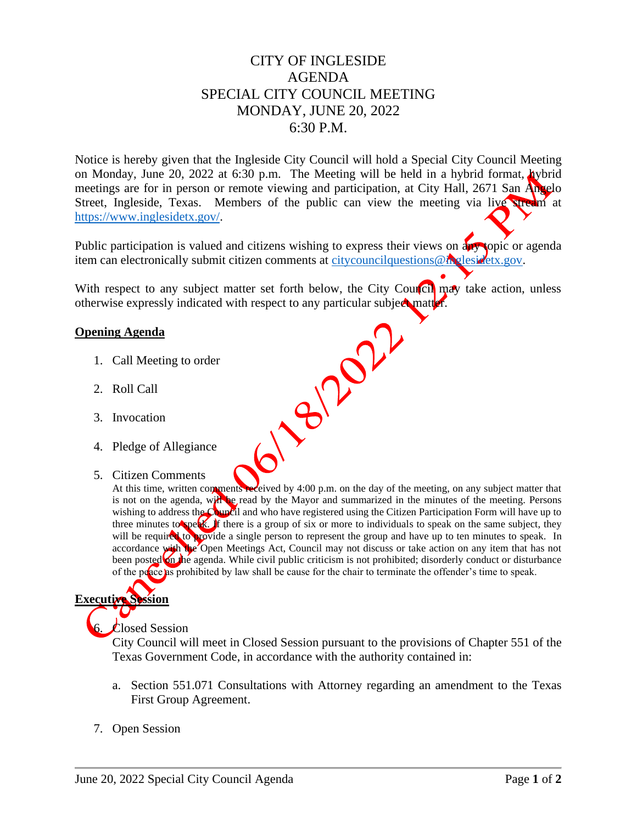## CITY OF INGLESIDE AGENDA SPECIAL CITY COUNCIL MEETING MONDAY, JUNE 20, 2022 6:30 P.M.

Notice is hereby given that the Ingleside City Council will hold a Special City Council Meeting on Monday, June 20, 2022 at 6:30 p.m. The Meeting will be held in a hybrid format,  $\Delta y$ brid meetings are for in person or remote viewing and participation, at City Hall, 2671 San Angelo Street, Ingleside, Texas. Members of the public can view the meeting via live stream at [https://www.inglesidetx.gov/.](https://www.inglesidetx.gov/)

Public participation is valued and citizens wishing to express their views on any topic or agenda item can electronically submit citizen comments at [citycouncilquestions@inglesidetx.gov.](mailto:citycouncilquestions@inglesidetx.gov)

With respect to any subject matter set forth below, the City Council may take action, unless otherwise expressly indicated with respect to any particular subject matter.<br>
Opening Agenda<br>
1. Call Meeting to order<br>
2. Roll Call<br>
3. Invocation<br>
4. Pledge of Alle

### **Opening Agenda**

- 1. Call Meeting to order
- 2. Roll Call
- 3. Invocation
- 4. Pledge of Allegiance
- 5. Citizen Comments

At this time, written comments received by 4:00 p.m. on the day of the meeting, on any subject matter that is not on the agenda, will be read by the Mayor and summarized in the minutes of the meeting. Persons wishing to address the Council and who have registered using the Citizen Participation Form will have up to three minutes to speak. If there is a group of six or more to individuals to speak on the same subject, they will be required to provide a single person to represent the group and have up to ten minutes to speak. In accordance with the Open Meetings Act, Council may not discuss or take action on any item that has not been posted on the agenda. While civil public criticism is not prohibited; disorderly conduct or disturbance of the peace as prohibited by law shall be cause for the chair to terminate the offender's time to speak.

# **Executive Session**

## **Closed Session**

City Council will meet in Closed Session pursuant to the provisions of Chapter 551 of the Texas Government Code, in accordance with the authority contained in:

- a. Section 551.071 Consultations with Attorney regarding an amendment to the Texas First Group Agreement.
- 7. Open Session